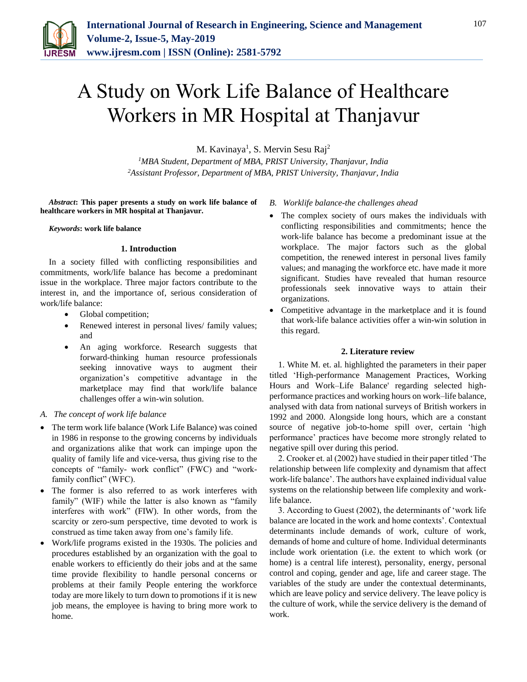

# A Study on Work Life Balance of Healthcare Workers in MR Hospital at Thanjavur

M. Kavinaya<sup>1</sup>, S. Mervin Sesu Raj<sup>2</sup>

*<sup>1</sup>MBA Student, Department of MBA, PRIST University, Thanjavur, India 2Assistant Professor, Department of MBA, PRIST University, Thanjavur, India*

*Abstract***: This paper presents a study on work life balance of healthcare workers in MR hospital at Thanjavur.**

#### *Keywords***: work life balance**

#### **1. Introduction**

In a society filled with conflicting responsibilities and commitments, work/life balance has become a predominant issue in the workplace. Three major factors contribute to the interest in, and the importance of, serious consideration of work/life balance:

- Global competition;
- Renewed interest in personal lives/ family values; and
- An aging workforce. Research suggests that forward-thinking human resource professionals seeking innovative ways to augment their organization's competitive advantage in the marketplace may find that work/life balance challenges offer a win-win solution.
- *A. The concept of work life balance*
- The term work life balance (Work Life Balance) was coined in 1986 in response to the growing concerns by individuals and organizations alike that work can impinge upon the quality of family life and vice-versa, thus giving rise to the concepts of "family- work conflict" (FWC) and "workfamily conflict" (WFC).
- The former is also referred to as work interferes with family" (WIF) while the latter is also known as "family interferes with work" (FIW). In other words, from the scarcity or zero-sum perspective, time devoted to work is construed as time taken away from one's family life.
- Work/life programs existed in the 1930s. The policies and procedures established by an organization with the goal to enable workers to efficiently do their jobs and at the same time provide flexibility to handle personal concerns or problems at their family People entering the workforce today are more likely to turn down to promotions if it is new job means, the employee is having to bring more work to home.

#### *B. Worklife balance-the challenges ahead*

- The complex society of ours makes the individuals with conflicting responsibilities and commitments; hence the work-life balance has become a predominant issue at the workplace. The major factors such as the global competition, the renewed interest in personal lives family values; and managing the workforce etc. have made it more significant. Studies have revealed that human resource professionals seek innovative ways to attain their organizations.
- Competitive advantage in the marketplace and it is found that work-life balance activities offer a win-win solution in this regard.

#### **2. Literature review**

1. White M. et. al. highlighted the parameters in their paper titled 'High-performance Management Practices, Working Hours and Work–Life Balance' regarding selected highperformance practices and working hours on work–life balance, analysed with data from national surveys of British workers in 1992 and 2000. Alongside long hours, which are a constant source of negative job-to-home spill over, certain 'high performance' practices have become more strongly related to negative spill over during this period.

2. Crooker et. al (2002) have studied in their paper titled 'The relationship between life complexity and dynamism that affect work-life balance'. The authors have explained individual value systems on the relationship between life complexity and worklife balance.

3. According to Guest (2002), the determinants of 'work life balance are located in the work and home contexts'. Contextual determinants include demands of work, culture of work, demands of home and culture of home. Individual determinants include work orientation (i.e. the extent to which work (or home) is a central life interest), personality, energy, personal control and coping, gender and age, life and career stage. The variables of the study are under the contextual determinants, which are leave policy and service delivery. The leave policy is the culture of work, while the service delivery is the demand of work.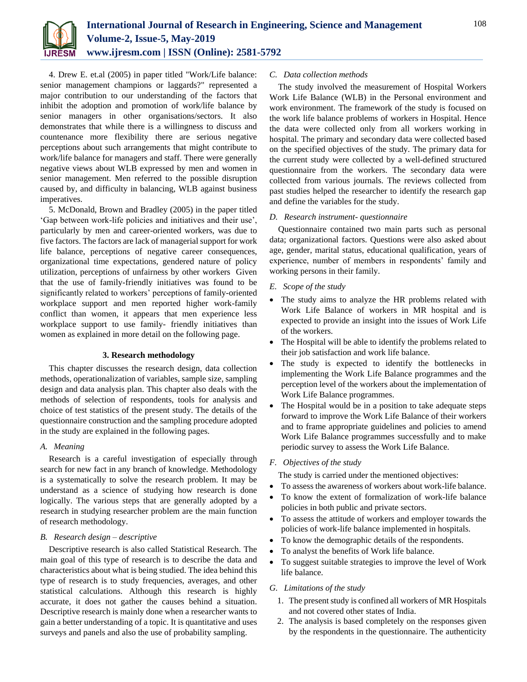

4. Drew E. et.al (2005) in paper titled "Work/Life balance: senior management champions or laggards?" represented a major contribution to our understanding of the factors that inhibit the adoption and promotion of work/life balance by senior managers in other organisations/sectors. It also demonstrates that while there is a willingness to discuss and countenance more flexibility there are serious negative perceptions about such arrangements that might contribute to work/life balance for managers and staff. There were generally negative views about WLB expressed by men and women in senior management. Men referred to the possible disruption caused by, and difficulty in balancing, WLB against business imperatives.

5. McDonald, Brown and Bradley (2005) in the paper titled 'Gap between work-life policies and initiatives and their use', particularly by men and career-oriented workers, was due to five factors. The factors are lack of managerial support for work life balance, perceptions of negative career consequences, organizational time expectations, gendered nature of policy utilization, perceptions of unfairness by other workers Given that the use of family-friendly initiatives was found to be significantly related to workers' perceptions of family-oriented workplace support and men reported higher work-family conflict than women, it appears that men experience less workplace support to use family- friendly initiatives than women as explained in more detail on the following page.

# **3. Research methodology**

This chapter discusses the research design, data collection methods, operationalization of variables, sample size, sampling design and data analysis plan. This chapter also deals with the methods of selection of respondents, tools for analysis and choice of test statistics of the present study. The details of the questionnaire construction and the sampling procedure adopted in the study are explained in the following pages.

# *A. Meaning*

Research is a careful investigation of especially through search for new fact in any branch of knowledge. Methodology is a systematically to solve the research problem. It may be understand as a science of studying how research is done logically. The various steps that are generally adopted by a research in studying researcher problem are the main function of research methodology.

# *B. Research design – descriptive*

Descriptive research is also called Statistical Research. The main goal of this type of research is to describe the data and characteristics about what is being studied. The idea behind this type of research is to study frequencies, averages, and other statistical calculations. Although this research is highly accurate, it does not gather the causes behind a situation. Descriptive research is mainly done when a researcher wants to gain a better understanding of a topic. It is quantitative and uses surveys and panels and also the use of probability sampling.

# *C. Data collection methods*

The study involved the measurement of Hospital Workers Work Life Balance (WLB) in the Personal environment and work environment. The framework of the study is focused on the work life balance problems of workers in Hospital. Hence the data were collected only from all workers working in hospital. The primary and secondary data were collected based on the specified objectives of the study. The primary data for the current study were collected by a well-defined structured questionnaire from the workers. The secondary data were collected from various journals. The reviews collected from past studies helped the researcher to identify the research gap and define the variables for the study.

#### *D. Research instrument- questionnaire*

Questionnaire contained two main parts such as personal data; organizational factors. Questions were also asked about age, gender, marital status, educational qualification, years of experience, number of members in respondents' family and working persons in their family.

#### *E. Scope of the study*

- The study aims to analyze the HR problems related with Work Life Balance of workers in MR hospital and is expected to provide an insight into the issues of Work Life of the workers.
- The Hospital will be able to identify the problems related to their job satisfaction and work life balance.
- The study is expected to identify the bottlenecks in implementing the Work Life Balance programmes and the perception level of the workers about the implementation of Work Life Balance programmes.
- The Hospital would be in a position to take adequate steps forward to improve the Work Life Balance of their workers and to frame appropriate guidelines and policies to amend Work Life Balance programmes successfully and to make periodic survey to assess the Work Life Balance.

#### *F. Objectives of the study*

The study is carried under the mentioned objectives:

- To assess the awareness of workers about work-life balance.
- To know the extent of formalization of work-life balance policies in both public and private sectors.
- To assess the attitude of workers and employer towards the policies of work-life balance implemented in hospitals.
- To know the demographic details of the respondents.
- To analyst the benefits of Work life balance.
- To suggest suitable strategies to improve the level of Work life balance.
- *G. Limitations of the study*
	- 1. The present study is confined all workers of MR Hospitals and not covered other states of India.
	- 2. The analysis is based completely on the responses given by the respondents in the questionnaire. The authenticity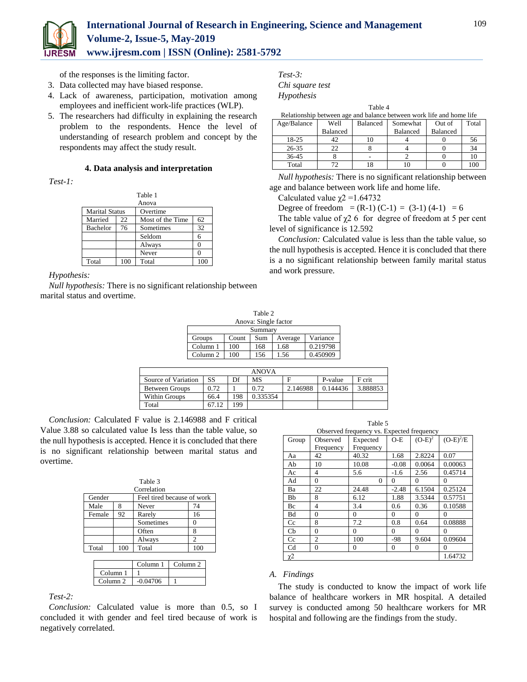

# **International Journal of Research in Engineering, Science and Management Volume-2, Issue-5, May-2019 www.ijresm.com | ISSN (Online): 2581-5792**

of the responses is the limiting factor.

- 3. Data collected may have biased response.
- 4. Lack of awareness, participation, motivation among employees and inefficient work-life practices (WLP).
- 5. The researchers had difficulty in explaining the research problem to the respondents. Hence the level of understanding of research problem and concept by the respondents may affect the study result.

#### **4. Data analysis and interpretation**

*Test-1:*

|                       |     | Table 1          |    |
|-----------------------|-----|------------------|----|
|                       |     | Anova            |    |
| <b>Marital Status</b> |     | Overtime         |    |
| Married               | 22  | Most of the Time | 62 |
| Bachelor              | 76  | Sometimes        | 32 |
|                       |     | Seldom           | 6  |
|                       |     | Always           | C  |
|                       |     | Never            |    |
| Total                 | 100 | Total            |    |

*Hypothesis:*

*Null hypothesis:* There is no significant relationship between marital status and overtime.

*Test-3: Chi square test Hypothesis* 

| Table 4                                                              |
|----------------------------------------------------------------------|
| Relationship between age and balance between work life and home life |

| Age/Balance | Well     | <b>Balanced</b> | Somewhat        | Out of          | Total |
|-------------|----------|-----------------|-----------------|-----------------|-------|
|             | Balanced |                 | <b>Balanced</b> | <b>Balanced</b> |       |
| 18-25       | 42       |                 |                 |                 | 56    |
| $26 - 35$   | 22       |                 |                 |                 | 34    |
| $36 - 45$   |          |                 |                 |                 | 10    |
| Total       | 77       |                 |                 |                 | 100   |

*Null hypothesis:* There is no significant relationship between age and balance between work life and home life.

Calculated value  $\chi$ <sup>2</sup> = 1.64732

Degree of freedom =  $(R-1)$   $(C-1)$  =  $(3-1)$   $(4-1)$  = 6

The table value of  $\chi$ 2 6 for degree of freedom at 5 per cent level of significance is 12.592

*Conclusion:* Calculated value is less than the table value, so the null hypothesis is accepted. Hence it is concluded that there is a no significant relationship between family marital status and work pressure.

| Table 2              |       |     |         |          |  |  |  |
|----------------------|-------|-----|---------|----------|--|--|--|
| Anova: Single factor |       |     |         |          |  |  |  |
| Summary              |       |     |         |          |  |  |  |
| Groups               | Count | Sum | Average | Variance |  |  |  |
| Column <sub>1</sub>  | 100   | 168 | 1.68    | 0.219798 |  |  |  |
| Column 2             | 100   | 156 | 1.56    | 0.450909 |  |  |  |

| <b>ANOVA</b>          |       |     |          |          |          |          |
|-----------------------|-------|-----|----------|----------|----------|----------|
| Source of Variation   | SS    | Df  | MS       |          | P-value  | F crit   |
| <b>Between Groups</b> | 0.72  |     | 0.72     | 2.146988 | 0.144436 | 3.888853 |
| <b>Within Groups</b>  | 66.4  | 198 | 0.335354 |          |          |          |
| Total                 | 67.12 | 199 |          |          |          |          |

*Conclusion:* Calculated F value is 2.146988 and F critical Value 3.88 so calculated value Is less than the table value, so the null hypothesis is accepted. Hence it is concluded that there is no significant relationship between marital status and overtime.

| Table 3                              |     |           |     |  |  |  |
|--------------------------------------|-----|-----------|-----|--|--|--|
| Correlation                          |     |           |     |  |  |  |
| Feel tired because of work<br>Gender |     |           |     |  |  |  |
| Male                                 | 8   | Never     | 74  |  |  |  |
| Female                               | 92  | Rarely    | 16  |  |  |  |
|                                      |     | Sometimes |     |  |  |  |
|                                      |     | Often     |     |  |  |  |
|                                      |     | Always    |     |  |  |  |
| Total                                | 100 | Total     | 100 |  |  |  |
|                                      |     |           |     |  |  |  |

| Column <sub>1</sub> |                     | $Col$ umn 1 | Column <sub>2</sub> |
|---------------------|---------------------|-------------|---------------------|
|                     |                     |             |                     |
|                     | Column <sub>2</sub> | $-0.04706$  |                     |

# *Test-2:*

*Conclusion:* Calculated value is more than 0.5, so I concluded it with gender and feel tired because of work is negatively correlated.

Table 5

| Observed frequency vs. Expected frequency |           |           |          |           |             |  |
|-------------------------------------------|-----------|-----------|----------|-----------|-------------|--|
| Group                                     | Observed  | Expected  | $O-E$    | $(O-E)^2$ | $(O-E)^2/E$ |  |
|                                           | Frequency | Frequency |          |           |             |  |
| Aa                                        | 42        | 40.32     | 1.68     | 2.8224    | 0.07        |  |
| Ab                                        | 10        | 10.08     | $-0.08$  | 0.0064    | 0.00063     |  |
| Ac                                        | 4         | 5.6       | $-1.6$   | 2.56      | 0.45714     |  |
| Ad                                        | $\Omega$  | $\theta$  | 0        | $\Omega$  | $\Omega$    |  |
| Ba                                        | 22        | 24.48     | $-2.48$  | 6.1504    | 0.25124     |  |
| <b>Bb</b>                                 | 8         | 6.12      | 1.88     | 3.5344    | 0.57751     |  |
| Bc                                        | 4         | 3.4       | 0.6      | 0.36      | 0.10588     |  |
| <b>Bd</b>                                 | $\Omega$  | 0         | 0        | $\Omega$  | 0           |  |
| Cc                                        | 8         | 7.2       | 0.8      | 0.64      | 0.08888     |  |
| Cb                                        | $\theta$  | $\Omega$  | $\Omega$ | $\Omega$  | $\Omega$    |  |
| Cc                                        | 2         | 100       | -98      | 9.604     | 0.09604     |  |
| C <sub>d</sub>                            | $\Omega$  | $\Omega$  | $\Omega$ | $\Omega$  | $\Omega$    |  |
| $\chi$ 2                                  |           |           |          |           | 1.64732     |  |

#### *A. Findings*

The study is conducted to know the impact of work life balance of healthcare workers in MR hospital. A detailed survey is conducted among 50 healthcare workers for MR hospital and following are the findings from the study.